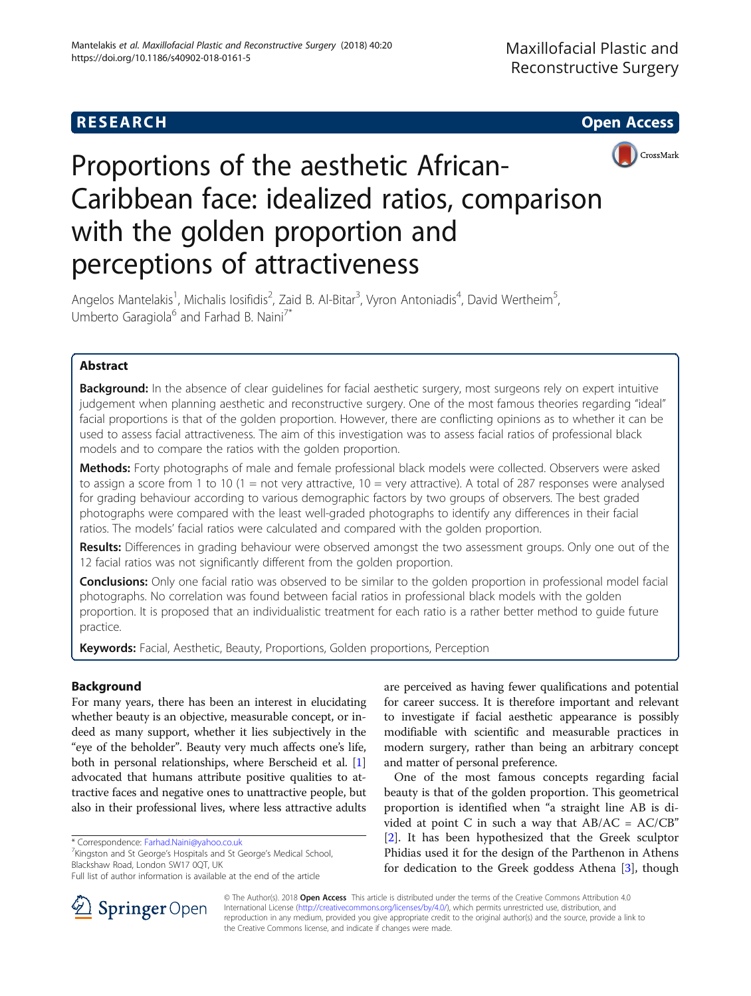## **RESEARCH CHEAR CHEAR CHEAR CHEAR CHEAR CHEAR CHEAR CHEAR CHEAR CHEAR CHEAR CHEAR CHEAR CHEAR CHEAR CHEAR CHEAR**





# Proportions of the aesthetic African-Caribbean face: idealized ratios, comparison with the golden proportion and perceptions of attractiveness

Angelos Mantelakis<sup>1</sup>, Michalis Iosifidis<sup>2</sup>, Zaid B. Al-Bitar<sup>3</sup>, Vyron Antoniadis<sup>4</sup>, David Wertheim<sup>5</sup> , Umberto Garagiola<sup>6</sup> and Farhad B. Naini<sup>7\*</sup>

## Abstract

Background: In the absence of clear quidelines for facial aesthetic surgery, most surgeons rely on expert intuitive judgement when planning aesthetic and reconstructive surgery. One of the most famous theories regarding "ideal" facial proportions is that of the golden proportion. However, there are conflicting opinions as to whether it can be used to assess facial attractiveness. The aim of this investigation was to assess facial ratios of professional black models and to compare the ratios with the golden proportion.

Methods: Forty photographs of male and female professional black models were collected. Observers were asked to assign a score from 1 to 10 (1 = not very attractive, 10 = very attractive). A total of 287 responses were analysed for grading behaviour according to various demographic factors by two groups of observers. The best graded photographs were compared with the least well-graded photographs to identify any differences in their facial ratios. The models' facial ratios were calculated and compared with the golden proportion.

Results: Differences in grading behaviour were observed amongst the two assessment groups. Only one out of the 12 facial ratios was not significantly different from the golden proportion.

**Conclusions:** Only one facial ratio was observed to be similar to the golden proportion in professional model facial photographs. No correlation was found between facial ratios in professional black models with the golden proportion. It is proposed that an individualistic treatment for each ratio is a rather better method to guide future practice.

Keywords: Facial, Aesthetic, Beauty, Proportions, Golden proportions, Perception

## Background

For many years, there has been an interest in elucidating whether beauty is an objective, measurable concept, or indeed as many support, whether it lies subjectively in the "eye of the beholder". Beauty very much affects one's life, both in personal relationships, where Berscheid et al. [[1](#page-8-0)] advocated that humans attribute positive qualities to attractive faces and negative ones to unattractive people, but also in their professional lives, where less attractive adults

 $^7$ Kingston and St George's Hospitals and St George's Medical School, Blackshaw Road, London SW17 0QT, UK

are perceived as having fewer qualifications and potential for career success. It is therefore important and relevant to investigate if facial aesthetic appearance is possibly modifiable with scientific and measurable practices in modern surgery, rather than being an arbitrary concept and matter of personal preference.

One of the most famous concepts regarding facial beauty is that of the golden proportion. This geometrical proportion is identified when "a straight line AB is divided at point C in such a way that  $AB/AC = AC/CB''$ [[2\]](#page-8-0). It has been hypothesized that the Greek sculptor Phidias used it for the design of the Parthenon in Athens for dedication to the Greek goddess Athena [[3\]](#page-8-0), though



© The Author(s). 2018 Open Access This article is distributed under the terms of the Creative Commons Attribution 4.0 International License ([http://creativecommons.org/licenses/by/4.0/\)](http://creativecommons.org/licenses/by/4.0/), which permits unrestricted use, distribution, and reproduction in any medium, provided you give appropriate credit to the original author(s) and the source, provide a link to the Creative Commons license, and indicate if changes were made.

<sup>\*</sup> Correspondence: [Farhad.Naini@yahoo.co.uk](mailto:Farhad.Naini@yahoo.co.uk) <sup>7</sup>

Full list of author information is available at the end of the article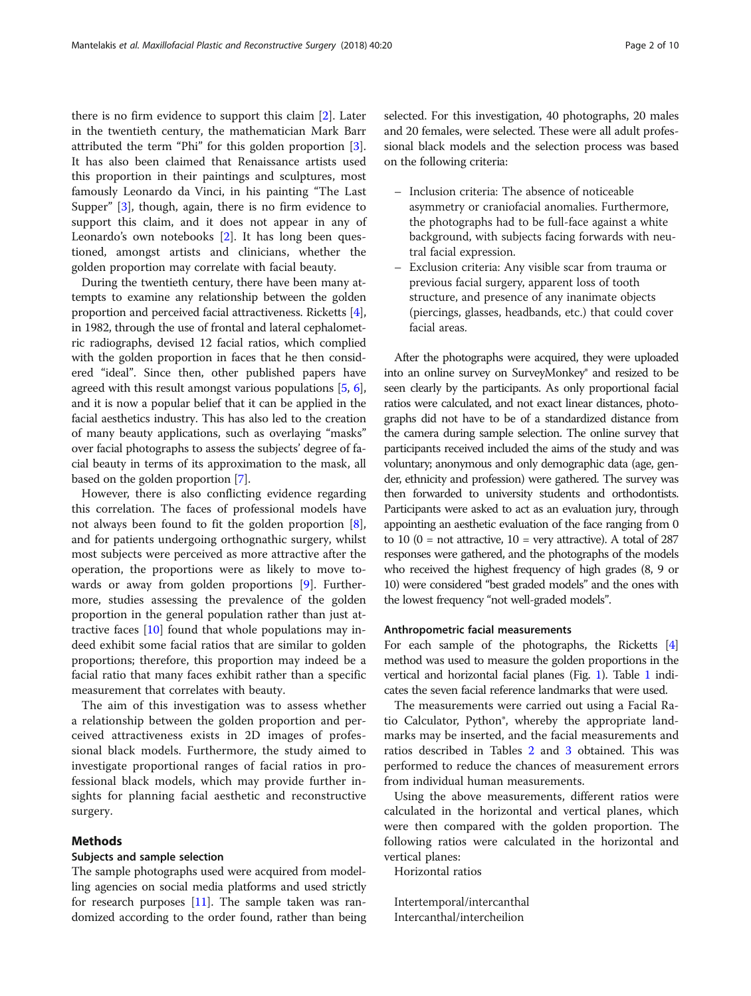there is no firm evidence to support this claim [[2\]](#page-8-0). Later in the twentieth century, the mathematician Mark Barr attributed the term "Phi" for this golden proportion [\[3](#page-8-0)]. It has also been claimed that Renaissance artists used this proportion in their paintings and sculptures, most famously Leonardo da Vinci, in his painting "The Last Supper" [\[3](#page-8-0)], though, again, there is no firm evidence to support this claim, and it does not appear in any of Leonardo's own notebooks [\[2](#page-8-0)]. It has long been questioned, amongst artists and clinicians, whether the golden proportion may correlate with facial beauty.

During the twentieth century, there have been many attempts to examine any relationship between the golden proportion and perceived facial attractiveness. Ricketts [[4](#page-8-0)], in 1982, through the use of frontal and lateral cephalometric radiographs, devised 12 facial ratios, which complied with the golden proportion in faces that he then considered "ideal". Since then, other published papers have agreed with this result amongst various populations [[5](#page-8-0), [6](#page-8-0)], and it is now a popular belief that it can be applied in the facial aesthetics industry. This has also led to the creation of many beauty applications, such as overlaying "masks" over facial photographs to assess the subjects' degree of facial beauty in terms of its approximation to the mask, all based on the golden proportion [[7\]](#page-8-0).

However, there is also conflicting evidence regarding this correlation. The faces of professional models have not always been found to fit the golden proportion [\[8](#page-8-0)], and for patients undergoing orthognathic surgery, whilst most subjects were perceived as more attractive after the operation, the proportions were as likely to move towards or away from golden proportions [[9\]](#page-8-0). Furthermore, studies assessing the prevalence of the golden proportion in the general population rather than just attractive faces [[10\]](#page-8-0) found that whole populations may indeed exhibit some facial ratios that are similar to golden proportions; therefore, this proportion may indeed be a facial ratio that many faces exhibit rather than a specific measurement that correlates with beauty.

The aim of this investigation was to assess whether a relationship between the golden proportion and perceived attractiveness exists in 2D images of professional black models. Furthermore, the study aimed to investigate proportional ranges of facial ratios in professional black models, which may provide further insights for planning facial aesthetic and reconstructive surgery.

#### Methods

## Subjects and sample selection

The sample photographs used were acquired from modelling agencies on social media platforms and used strictly for research purposes [[11](#page-8-0)]. The sample taken was randomized according to the order found, rather than being selected. For this investigation, 40 photographs, 20 males and 20 females, were selected. These were all adult professional black models and the selection process was based on the following criteria:

- Inclusion criteria: The absence of noticeable asymmetry or craniofacial anomalies. Furthermore, the photographs had to be full-face against a white background, with subjects facing forwards with neutral facial expression.
- Exclusion criteria: Any visible scar from trauma or previous facial surgery, apparent loss of tooth structure, and presence of any inanimate objects (piercings, glasses, headbands, etc.) that could cover facial areas.

After the photographs were acquired, they were uploaded into an online survey on SurveyMonkey® and resized to be seen clearly by the participants. As only proportional facial ratios were calculated, and not exact linear distances, photographs did not have to be of a standardized distance from the camera during sample selection. The online survey that participants received included the aims of the study and was voluntary; anonymous and only demographic data (age, gender, ethnicity and profession) were gathered. The survey was then forwarded to university students and orthodontists. Participants were asked to act as an evaluation jury, through appointing an aesthetic evaluation of the face ranging from 0 to  $10$  (0 = not attractive,  $10$  = very attractive). A total of 287 responses were gathered, and the photographs of the models who received the highest frequency of high grades (8, 9 or 10) were considered "best graded models" and the ones with the lowest frequency "not well-graded models".

#### Anthropometric facial measurements

For each sample of the photographs, the Ricketts [[4](#page-8-0)] method was used to measure the golden proportions in the vertical and horizontal facial planes (Fig. [1](#page-2-0)). Table [1](#page-2-0) indicates the seven facial reference landmarks that were used.

The measurements were carried out using a Facial Ratio Calculator, Python®, whereby the appropriate landmarks may be inserted, and the facial measurements and ratios described in Tables [2](#page-2-0) and [3](#page-3-0) obtained. This was performed to reduce the chances of measurement errors from individual human measurements.

Using the above measurements, different ratios were calculated in the horizontal and vertical planes, which were then compared with the golden proportion. The following ratios were calculated in the horizontal and vertical planes:

## Horizontal ratios

Intertemporal/intercanthal Intercanthal/intercheilion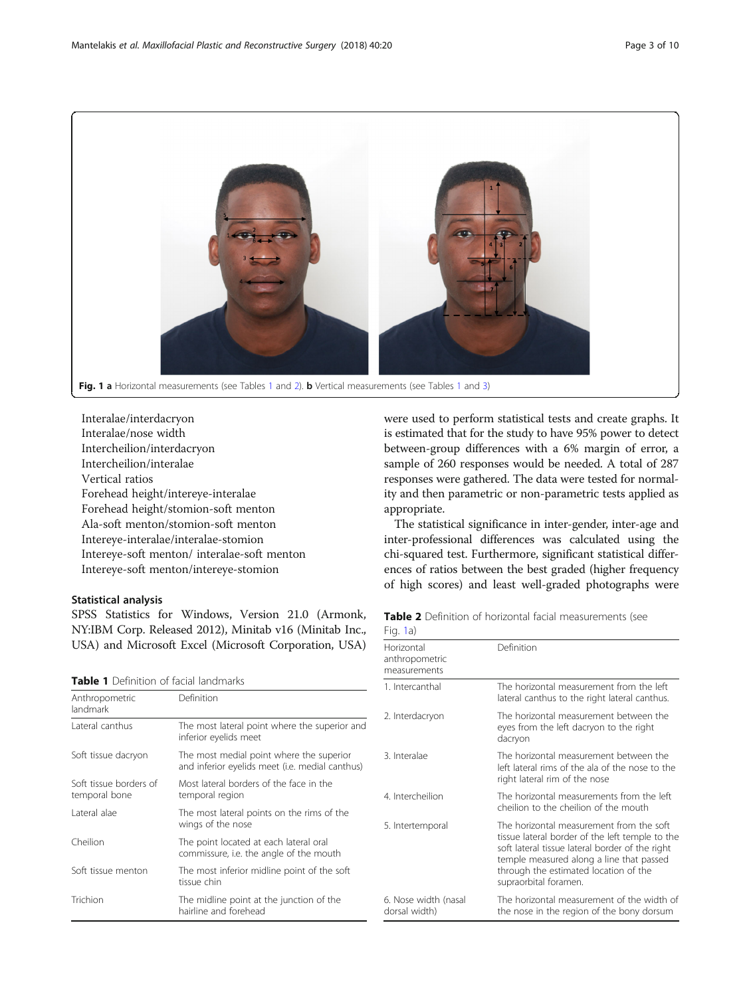<span id="page-2-0"></span>

Interalae/interdacryon Interalae/nose width Intercheilion/interdacryon Intercheilion/interalae Vertical ratios Forehead height/intereye-interalae Forehead height/stomion-soft menton Ala-soft menton/stomion-soft menton Intereye-interalae/interalae-stomion Intereye-soft menton/ interalae-soft menton Intereye-soft menton/intereye-stomion

## Statistical analysis

SPSS Statistics for Windows, Version 21.0 (Armonk, NY:IBM Corp. Released 2012), Minitab v16 (Minitab Inc., USA) and Microsoft Excel (Microsoft Corporation, USA)

## Table 1 Definition of facial landmarks

| Anthropometric<br>landmark              | Definition                                                                                  |
|-----------------------------------------|---------------------------------------------------------------------------------------------|
| Lateral canthus                         | The most lateral point where the superior and<br>inferior eyelids meet                      |
| Soft tissue dacryon                     | The most medial point where the superior<br>and inferior eyelids meet (i.e. medial canthus) |
| Soft tissue borders of<br>temporal bone | Most lateral borders of the face in the<br>temporal region                                  |
| Lateral alae                            | The most lateral points on the rims of the<br>wings of the nose                             |
| Cheilion                                | The point located at each lateral oral<br>commissure, i.e. the angle of the mouth           |
| Soft tissue menton                      | The most inferior midline point of the soft<br>tissue chin                                  |
| Trichion                                | The midline point at the junction of the<br>hairline and forehead                           |

were used to perform statistical tests and create graphs. It is estimated that for the study to have 95% power to detect between-group differences with a 6% margin of error, a sample of 260 responses would be needed. A total of 287 responses were gathered. The data were tested for normality and then parametric or non-parametric tests applied as appropriate.

The statistical significance in inter-gender, inter-age and inter-professional differences was calculated using the chi-squared test. Furthermore, significant statistical differences of ratios between the best graded (higher frequency of high scores) and least well-graded photographs were

|            |  |  | <b>Table 2</b> Definition of horizontal facial measurements (see |  |
|------------|--|--|------------------------------------------------------------------|--|
| Fig. $1a)$ |  |  |                                                                  |  |

| Horizontal<br>anthropometric<br>measurements | Definition                                                                                                                                                                                                                                                   |
|----------------------------------------------|--------------------------------------------------------------------------------------------------------------------------------------------------------------------------------------------------------------------------------------------------------------|
| 1. Intercanthal                              | The horizontal measurement from the left<br>lateral canthus to the right lateral canthus.                                                                                                                                                                    |
| 2. Interdacryon                              | The horizontal measurement between the<br>eyes from the left dacryon to the right<br>dacryon                                                                                                                                                                 |
| 3. Interalae                                 | The horizontal measurement between the<br>left lateral rims of the ala of the nose to the<br>right lateral rim of the nose                                                                                                                                   |
| 4. Intercheilion                             | The horizontal measurements from the left<br>cheilion to the cheilion of the mouth                                                                                                                                                                           |
| 5. Intertemporal                             | The horizontal measurement from the soft<br>tissue lateral border of the left temple to the<br>soft lateral tissue lateral border of the right<br>temple measured along a line that passed<br>through the estimated location of the<br>supraorbital foramen. |
| 6. Nose width (nasal<br>dorsal width)        | The horizontal measurement of the width of<br>the nose in the region of the bony dorsum                                                                                                                                                                      |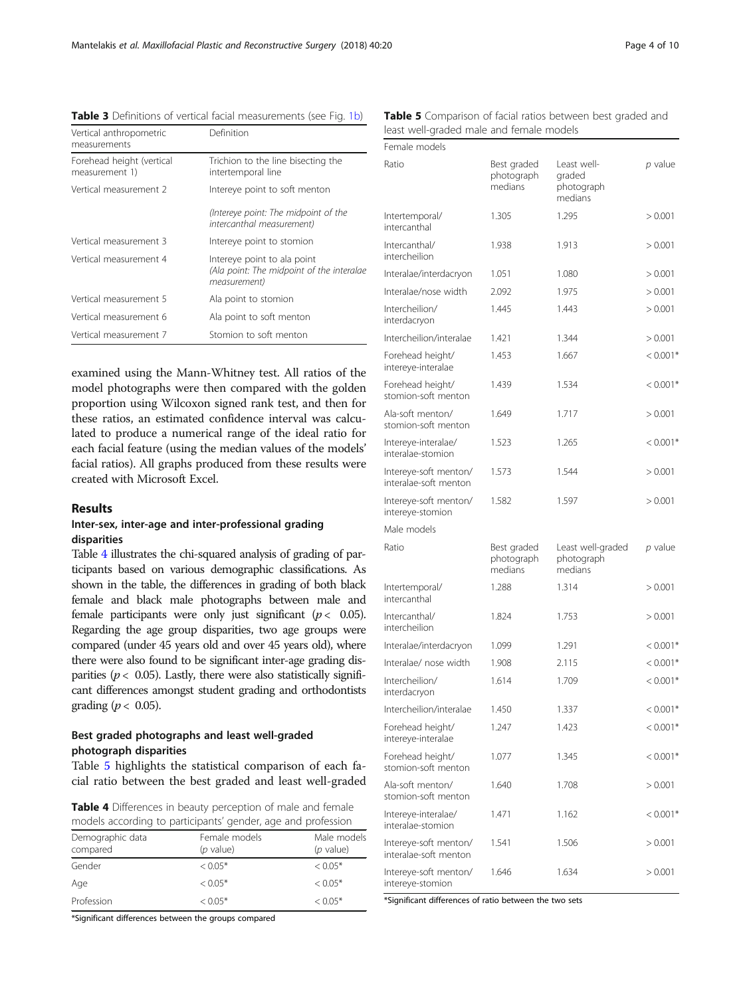examined using the Mann-Whitney test. All ratios of the model photographs were then compared with the golden proportion using Wilcoxon signed rank test, and then for these ratios, an estimated confidence interval was calculated to produce a numerical range of the ideal ratio for each facial feature (using the median values of the models' facial ratios). All graphs produced from these results were created with Microsoft Excel.

#### Results

Vertical anthropometric

## Inter-sex, inter-age and inter-professional grading disparities

Table 4 illustrates the chi-squared analysis of grading of participants based on various demographic classifications. As shown in the table, the differences in grading of both black female and black male photographs between male and female participants were only just significant ( $p < 0.05$ ). Regarding the age group disparities, two age groups were compared (under 45 years old and over 45 years old), where there were also found to be significant inter-age grading disparities ( $p < 0.05$ ). Lastly, there were also statistically significant differences amongst student grading and orthodontists grading ( $p < 0.05$ ).

## Best graded photographs and least well-graded photograph disparities

Table 5 highlights the statistical comparison of each facial ratio between the best graded and least well-graded

Table 4 Differences in beauty perception of male and female models according to participants' gender, age and profession

| Demographic data<br>compared | Female models<br>(p value) | Male models<br>$(p$ value) |
|------------------------------|----------------------------|----------------------------|
| Gender                       | $< 0.05*$                  | $< 0.05*$                  |
| Age                          | $< 0.05*$                  | $< 0.05*$                  |
| Profession                   | $< 0.05*$                  | $< 0.05*$                  |

\*Significant differences between the groups compared

| Female models                                  |                                      |                                                |            |
|------------------------------------------------|--------------------------------------|------------------------------------------------|------------|
| Ratio                                          | Best graded<br>photograph<br>medians | Least well-<br>graded<br>photograph<br>medians | p value    |
| Intertemporal/<br>intercanthal                 | 1.305                                | 1.295                                          | > 0.001    |
| Intercanthal/<br>intercheilion                 | 1.938                                | 1.913                                          | > 0.001    |
| Interalae/interdacryon                         | 1.051                                | 1.080                                          | > 0.001    |
| Interalae/nose width                           | 2.092                                | 1.975                                          | > 0.001    |
| Intercheilion/<br>interdacryon                 | 1.445                                | 1.443                                          | > 0.001    |
| Intercheilion/interalae                        | 1.421                                | 1.344                                          | > 0.001    |
| Forehead height/<br>intereye-interalae         | 1.453                                | 1.667                                          | $< 0.001*$ |
| Forehead height/<br>stomion-soft menton        | 1.439                                | 1.534                                          | $< 0.001*$ |
| Ala-soft menton/<br>stomion-soft menton        | 1.649                                | 1.717                                          | > 0.001    |
| Intereye-interalae/<br>interalae-stomion       | 1.523                                | 1.265                                          | $< 0.001*$ |
| Intereye-soft menton/<br>interalae-soft menton | 1.573                                | 1.544                                          | > 0.001    |
| Intereye-soft menton/<br>intereye-stomion      | 1.582                                | 1.597                                          | > 0.001    |
|                                                |                                      |                                                |            |
| Male models                                    |                                      |                                                |            |
| Ratio                                          | Best graded<br>photograph<br>medians | Least well-graded<br>photograph<br>medians     | $p$ value  |
| Intertemporal/<br>intercanthal                 | 1.288                                | 1.314                                          | > 0.001    |
| Intercanthal/<br>intercheilion                 | 1.824                                | 1.753                                          | > 0.001    |
| Interalae/interdacryon                         | 1.099                                | 1.291                                          | $< 0.001*$ |
| Interalae/ nose width                          | 1.908                                | 2.115                                          | $< 0.001*$ |
| Intercheilion/<br>interdacryon                 | 1.614                                | 1.709                                          | $< 0.001*$ |
| Intercheilion/interalae                        | 1.450                                | 1.337                                          | $< 0.001*$ |
| Forehead height/<br>intereye-interalae         | 1.247                                | 1.423                                          | $< 0.001*$ |
| Forehead height/<br>stomion-soft menton        | 1.077                                | 1.345                                          | $< 0.001*$ |
| Ala-soft menton/<br>stomion-soft menton        | 1.640                                | 1.708                                          | > 0.001    |
| Intereye-interalae/<br>interalae-stomion       | 1.471                                | 1.162                                          | $< 0.001*$ |
| Intereye-soft menton/<br>interalae-soft menton | 1.541                                | 1.506                                          | > 0.001    |

\*Significant differences of ratio between the two sets

| VEHILAI AHLINUDUHELIIL<br>measurements      | 17CHI 111 IV 71 I                                                                        |
|---------------------------------------------|------------------------------------------------------------------------------------------|
| Forehead height (vertical<br>measurement 1) | Trichion to the line bisecting the<br>intertemporal line                                 |
| Vertical measurement 2                      | Intereye point to soft menton                                                            |
|                                             | (Intereye point: The midpoint of the<br>intercanthal measurement)                        |
| Vertical measurement 3                      | Intereye point to stomion                                                                |
| Vertical measurement 4                      | Intereye point to ala point<br>(Ala point: The midpoint of the interalae<br>measurement) |
| Vertical measurement 5                      | Ala point to stomion                                                                     |
| Vertical measurement 6                      | Ala point to soft menton                                                                 |
| Vertical measurement 7                      | Stomion to soft menton                                                                   |

<span id="page-3-0"></span>Table 3 Definitions of vertical facial measurements (see Fig. [1b\)](#page-2-0)

Definition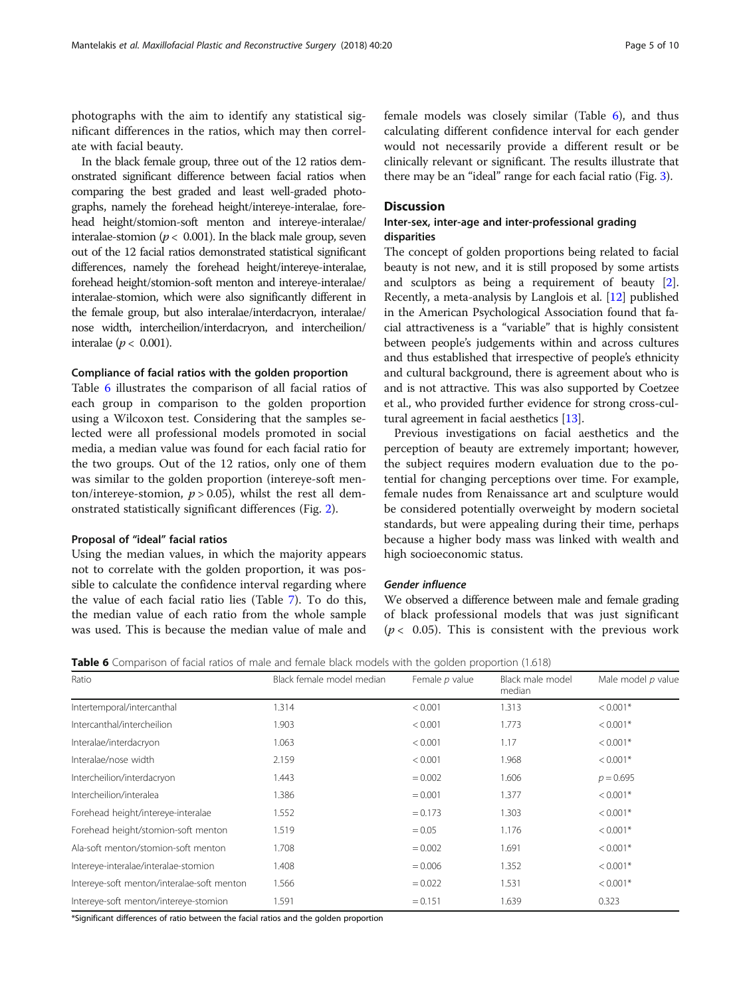photographs with the aim to identify any statistical significant differences in the ratios, which may then correlate with facial beauty.

In the black female group, three out of the 12 ratios demonstrated significant difference between facial ratios when comparing the best graded and least well-graded photographs, namely the forehead height/intereye-interalae, forehead height/stomion-soft menton and intereye-interalae/ interalae-stomion ( $p < 0.001$ ). In the black male group, seven out of the 12 facial ratios demonstrated statistical significant differences, namely the forehead height/intereye-interalae, forehead height/stomion-soft menton and intereye-interalae/ interalae-stomion, which were also significantly different in the female group, but also interalae/interdacryon, interalae/ nose width, intercheilion/interdacryon, and intercheilion/ interalae ( $p < 0.001$ ).

#### Compliance of facial ratios with the golden proportion

Table 6 illustrates the comparison of all facial ratios of each group in comparison to the golden proportion using a Wilcoxon test. Considering that the samples selected were all professional models promoted in social media, a median value was found for each facial ratio for the two groups. Out of the 12 ratios, only one of them was similar to the golden proportion (intereye-soft menton/intereye-stomion,  $p > 0.05$ ), whilst the rest all demonstrated statistically significant differences (Fig. [2](#page-5-0)).

## Proposal of "ideal" facial ratios

Using the median values, in which the majority appears not to correlate with the golden proportion, it was possible to calculate the confidence interval regarding where the value of each facial ratio lies (Table [7\)](#page-5-0). To do this, the median value of each ratio from the whole sample was used. This is because the median value of male and female models was closely similar (Table 6), and thus calculating different confidence interval for each gender would not necessarily provide a different result or be clinically relevant or significant. The results illustrate that there may be an "ideal" range for each facial ratio (Fig. [3](#page-6-0)).

## **Discussion**

## Inter-sex, inter-age and inter-professional grading disparities

The concept of golden proportions being related to facial beauty is not new, and it is still proposed by some artists and sculptors as being a requirement of beauty [[2](#page-8-0)]. Recently, a meta-analysis by Langlois et al. [[12\]](#page-8-0) published in the American Psychological Association found that facial attractiveness is a "variable" that is highly consistent between people's judgements within and across cultures and thus established that irrespective of people's ethnicity and cultural background, there is agreement about who is and is not attractive. This was also supported by Coetzee et al., who provided further evidence for strong cross-cultural agreement in facial aesthetics [[13](#page-8-0)].

Previous investigations on facial aesthetics and the perception of beauty are extremely important; however, the subject requires modern evaluation due to the potential for changing perceptions over time. For example, female nudes from Renaissance art and sculpture would be considered potentially overweight by modern societal standards, but were appealing during their time, perhaps because a higher body mass was linked with wealth and high socioeconomic status.

## Gender influence

We observed a difference between male and female grading of black professional models that was just significant ( $p < 0.05$ ). This is consistent with the previous work

| <b>Table 6</b> Comparison of facial ratios of male and female black models with the golden proportion (1.618) |  |  |
|---------------------------------------------------------------------------------------------------------------|--|--|
|---------------------------------------------------------------------------------------------------------------|--|--|

| Ratio                                      | Black female model median | Female p value | Black male model<br>median | Male model p value |
|--------------------------------------------|---------------------------|----------------|----------------------------|--------------------|
| Intertemporal/intercanthal                 | 1.314                     | < 0.001        | 1.313                      | $< 0.001*$         |
| Intercanthal/intercheilion                 | 1.903                     | < 0.001        | 1.773                      | $< 0.001*$         |
| Interalae/interdacryon                     | 1.063                     | < 0.001        | 1.17                       | $< 0.001*$         |
| Interalae/nose width                       | 2.159                     | < 0.001        | 1.968                      | $< 0.001*$         |
| Intercheilion/interdacryon                 | 1.443                     | $= 0.002$      | 1.606                      | $p = 0.695$        |
| Intercheilion/interalea                    | 1.386                     | $= 0.001$      | 1.377                      | $< 0.001*$         |
| Forehead height/intereye-interalae         | 1.552                     | $= 0.173$      | 1.303                      | $< 0.001*$         |
| Forehead height/stomion-soft menton        | 1.519                     | $= 0.05$       | 1.176                      | $< 0.001*$         |
| Ala-soft menton/stomion-soft menton        | 1.708                     | $= 0.002$      | 1.691                      | $< 0.001*$         |
| Intereye-interalae/interalae-stomion       | 1.408                     | $= 0.006$      | 1.352                      | $< 0.001*$         |
| Intereye-soft menton/interalae-soft menton | 1.566                     | $= 0.022$      | 1.531                      | $< 0.001*$         |
| Intereye-soft menton/intereye-stomion      | 1.591                     | $= 0.151$      | 1.639                      | 0.323              |

\*Significant differences of ratio between the facial ratios and the golden proportion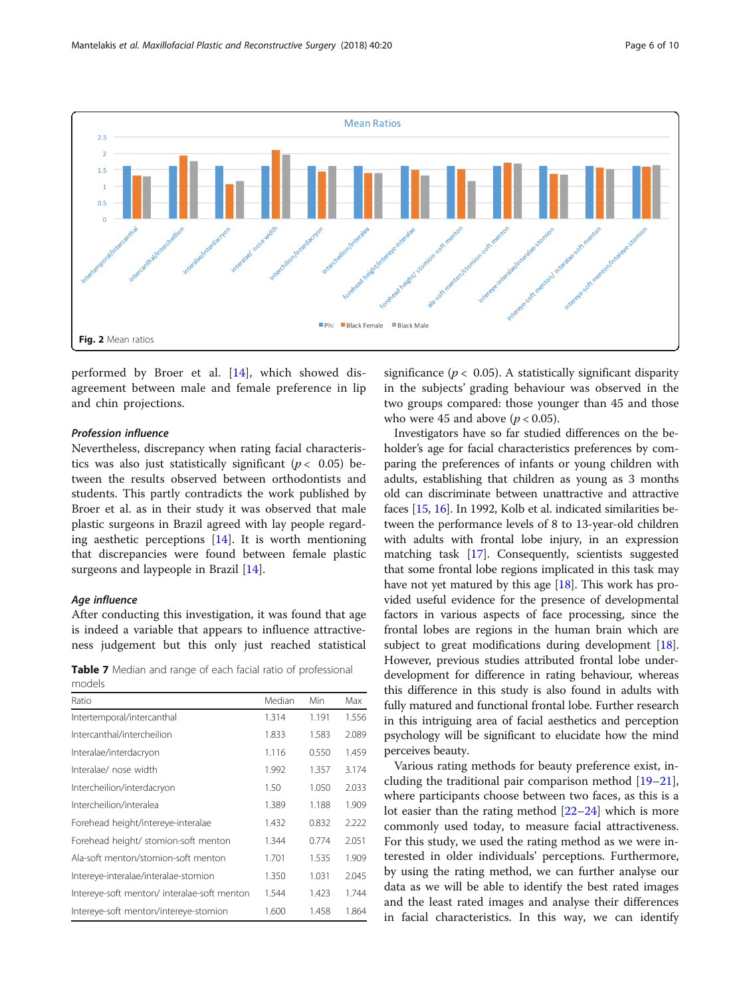<span id="page-5-0"></span>

performed by Broer et al. [[14\]](#page-8-0), which showed disagreement between male and female preference in lip and chin projections.

## Profession influence

Nevertheless, discrepancy when rating facial characteristics was also just statistically significant ( $p < 0.05$ ) between the results observed between orthodontists and students. This partly contradicts the work published by Broer et al. as in their study it was observed that male plastic surgeons in Brazil agreed with lay people regarding aesthetic perceptions [[14\]](#page-8-0). It is worth mentioning that discrepancies were found between female plastic surgeons and laypeople in Brazil [\[14](#page-8-0)].

#### Age influence

After conducting this investigation, it was found that age is indeed a variable that appears to influence attractiveness judgement but this only just reached statistical

Table 7 Median and range of each facial ratio of professional models

| Ratio                                       | Median | Min   | Max   |
|---------------------------------------------|--------|-------|-------|
| Intertemporal/intercanthal                  | 1.314  | 1.191 | 1.556 |
| Intercanthal/intercheilion                  | 1.833  | 1.583 | 2.089 |
| Interalae/interdacryon                      | 1.116  | 0.550 | 1.459 |
| Interalae/ nose width                       | 1.992  | 1.357 | 3.174 |
| Intercheilion/interdacryon                  | 1.50   | 1.050 | 2.033 |
| Intercheilion/interalea                     | 1.389  | 1.188 | 1.909 |
| Forehead height/intereye-interalae          | 1.432  | 0.832 | 2.222 |
| Forehead height/ stomion-soft menton        | 1.344  | 0.774 | 2.051 |
| Ala-soft menton/stomion-soft menton         | 1.701  | 1.535 | 1.909 |
| Intereye-interalae/interalae-stomion        | 1.350  | 1.031 | 2.045 |
| Intereye-soft menton/ interalae-soft menton | 1.544  | 1.423 | 1.744 |
| Intereye-soft menton/intereye-stomion       | 1.600  | 1.458 | 1.864 |
|                                             |        |       |       |

significance ( $p < 0.05$ ). A statistically significant disparity in the subjects' grading behaviour was observed in the two groups compared: those younger than 45 and those who were 45 and above ( $p < 0.05$ ).

Investigators have so far studied differences on the beholder's age for facial characteristics preferences by comparing the preferences of infants or young children with adults, establishing that children as young as 3 months old can discriminate between unattractive and attractive faces [[15,](#page-8-0) [16\]](#page-8-0). In 1992, Kolb et al. indicated similarities between the performance levels of 8 to 13-year-old children with adults with frontal lobe injury, in an expression matching task [[17](#page-8-0)]. Consequently, scientists suggested that some frontal lobe regions implicated in this task may have not yet matured by this age [\[18\]](#page-8-0). This work has provided useful evidence for the presence of developmental factors in various aspects of face processing, since the frontal lobes are regions in the human brain which are subject to great modifications during development [[18](#page-8-0)]. However, previous studies attributed frontal lobe underdevelopment for difference in rating behaviour, whereas this difference in this study is also found in adults with fully matured and functional frontal lobe. Further research in this intriguing area of facial aesthetics and perception psychology will be significant to elucidate how the mind perceives beauty.

Various rating methods for beauty preference exist, including the traditional pair comparison method [[19](#page-8-0)–[21](#page-8-0)], where participants choose between two faces, as this is a lot easier than the rating method [[22](#page-8-0)–[24\]](#page-8-0) which is more commonly used today, to measure facial attractiveness. For this study, we used the rating method as we were interested in older individuals' perceptions. Furthermore, by using the rating method, we can further analyse our data as we will be able to identify the best rated images and the least rated images and analyse their differences in facial characteristics. In this way, we can identify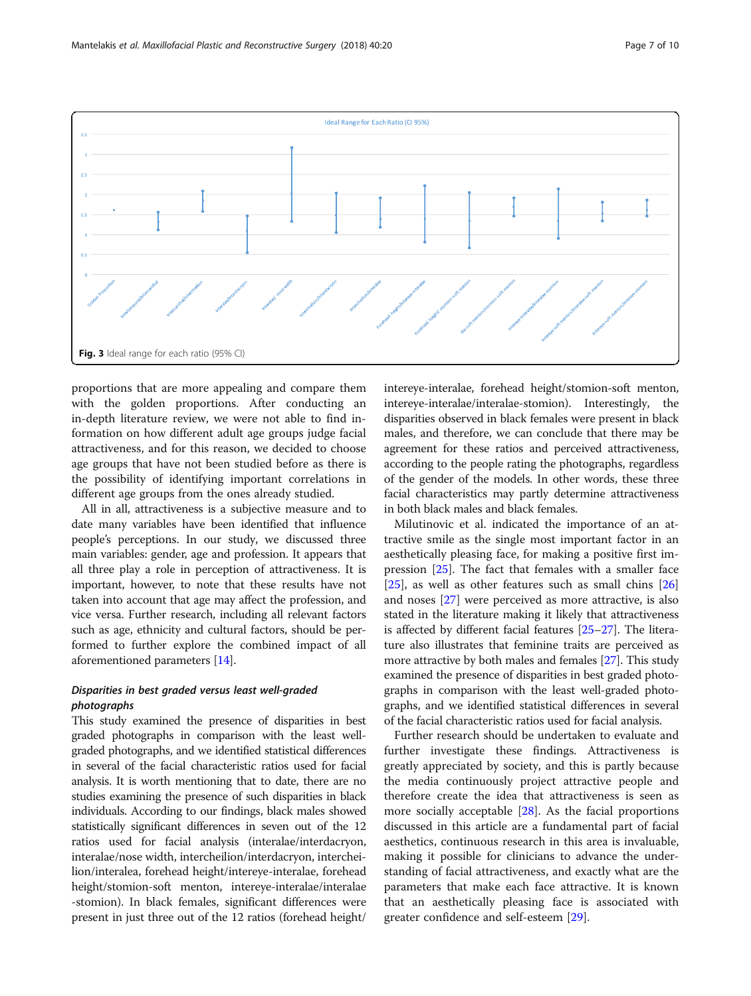<span id="page-6-0"></span>

proportions that are more appealing and compare them with the golden proportions. After conducting an in-depth literature review, we were not able to find information on how different adult age groups judge facial attractiveness, and for this reason, we decided to choose age groups that have not been studied before as there is the possibility of identifying important correlations in different age groups from the ones already studied.

All in all, attractiveness is a subjective measure and to date many variables have been identified that influence people's perceptions. In our study, we discussed three main variables: gender, age and profession. It appears that all three play a role in perception of attractiveness. It is important, however, to note that these results have not taken into account that age may affect the profession, and vice versa. Further research, including all relevant factors such as age, ethnicity and cultural factors, should be performed to further explore the combined impact of all aforementioned parameters [[14](#page-8-0)].

## Disparities in best graded versus least well-graded photographs

This study examined the presence of disparities in best graded photographs in comparison with the least wellgraded photographs, and we identified statistical differences in several of the facial characteristic ratios used for facial analysis. It is worth mentioning that to date, there are no studies examining the presence of such disparities in black individuals. According to our findings, black males showed statistically significant differences in seven out of the 12 ratios used for facial analysis (interalae/interdacryon, interalae/nose width, intercheilion/interdacryon, intercheilion/interalea, forehead height/intereye-interalae, forehead height/stomion-soft menton, intereye-interalae/interalae -stomion). In black females, significant differences were present in just three out of the 12 ratios (forehead height/

intereye-interalae, forehead height/stomion-soft menton, intereye-interalae/interalae-stomion). Interestingly, the disparities observed in black females were present in black males, and therefore, we can conclude that there may be agreement for these ratios and perceived attractiveness, according to the people rating the photographs, regardless of the gender of the models. In other words, these three facial characteristics may partly determine attractiveness in both black males and black females.

Milutinovic et al. indicated the importance of an attractive smile as the single most important factor in an aesthetically pleasing face, for making a positive first impression [[25\]](#page-8-0). The fact that females with a smaller face [[25\]](#page-8-0), as well as other features such as small chins [[26](#page-8-0)] and noses [\[27\]](#page-9-0) were perceived as more attractive, is also stated in the literature making it likely that attractiveness is affected by different facial features [\[25](#page-8-0)–[27\]](#page-9-0). The literature also illustrates that feminine traits are perceived as more attractive by both males and females [\[27\]](#page-9-0). This study examined the presence of disparities in best graded photographs in comparison with the least well-graded photographs, and we identified statistical differences in several of the facial characteristic ratios used for facial analysis.

Further research should be undertaken to evaluate and further investigate these findings. Attractiveness is greatly appreciated by society, and this is partly because the media continuously project attractive people and therefore create the idea that attractiveness is seen as more socially acceptable [[28\]](#page-9-0). As the facial proportions discussed in this article are a fundamental part of facial aesthetics, continuous research in this area is invaluable, making it possible for clinicians to advance the understanding of facial attractiveness, and exactly what are the parameters that make each face attractive. It is known that an aesthetically pleasing face is associated with greater confidence and self-esteem [[29\]](#page-9-0).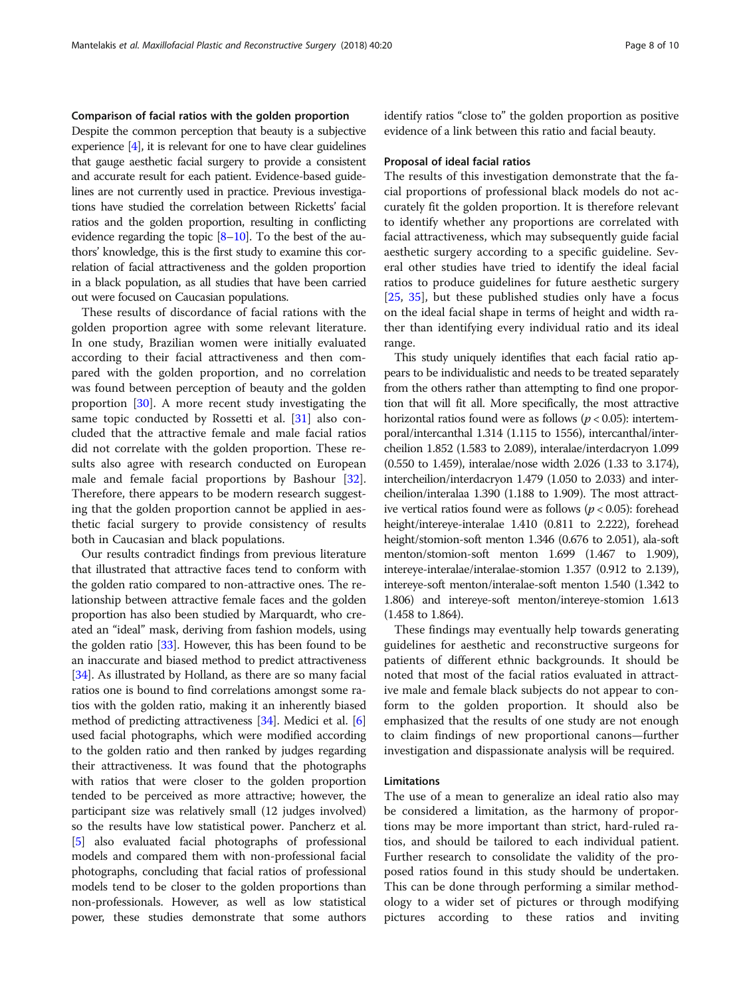#### Comparison of facial ratios with the golden proportion

Despite the common perception that beauty is a subjective experience [\[4\]](#page-8-0), it is relevant for one to have clear guidelines that gauge aesthetic facial surgery to provide a consistent and accurate result for each patient. Evidence-based guidelines are not currently used in practice. Previous investigations have studied the correlation between Ricketts' facial ratios and the golden proportion, resulting in conflicting evidence regarding the topic  $[8-10]$  $[8-10]$  $[8-10]$ . To the best of the authors' knowledge, this is the first study to examine this correlation of facial attractiveness and the golden proportion in a black population, as all studies that have been carried out were focused on Caucasian populations.

These results of discordance of facial rations with the golden proportion agree with some relevant literature. In one study, Brazilian women were initially evaluated according to their facial attractiveness and then compared with the golden proportion, and no correlation was found between perception of beauty and the golden proportion [[30](#page-9-0)]. A more recent study investigating the same topic conducted by Rossetti et al. [\[31\]](#page-9-0) also concluded that the attractive female and male facial ratios did not correlate with the golden proportion. These results also agree with research conducted on European male and female facial proportions by Bashour [\[32](#page-9-0)]. Therefore, there appears to be modern research suggesting that the golden proportion cannot be applied in aesthetic facial surgery to provide consistency of results both in Caucasian and black populations.

Our results contradict findings from previous literature that illustrated that attractive faces tend to conform with the golden ratio compared to non-attractive ones. The relationship between attractive female faces and the golden proportion has also been studied by Marquardt, who created an "ideal" mask, deriving from fashion models, using the golden ratio [[33](#page-9-0)]. However, this has been found to be an inaccurate and biased method to predict attractiveness [[34](#page-9-0)]. As illustrated by Holland, as there are so many facial ratios one is bound to find correlations amongst some ratios with the golden ratio, making it an inherently biased method of predicting attractiveness [[34](#page-9-0)]. Medici et al. [[6](#page-8-0)] used facial photographs, which were modified according to the golden ratio and then ranked by judges regarding their attractiveness. It was found that the photographs with ratios that were closer to the golden proportion tended to be perceived as more attractive; however, the participant size was relatively small (12 judges involved) so the results have low statistical power. Pancherz et al. [[5\]](#page-8-0) also evaluated facial photographs of professional models and compared them with non-professional facial photographs, concluding that facial ratios of professional models tend to be closer to the golden proportions than non-professionals. However, as well as low statistical power, these studies demonstrate that some authors identify ratios "close to" the golden proportion as positive evidence of a link between this ratio and facial beauty.

#### Proposal of ideal facial ratios

The results of this investigation demonstrate that the facial proportions of professional black models do not accurately fit the golden proportion. It is therefore relevant to identify whether any proportions are correlated with facial attractiveness, which may subsequently guide facial aesthetic surgery according to a specific guideline. Several other studies have tried to identify the ideal facial ratios to produce guidelines for future aesthetic surgery [[25,](#page-8-0) [35](#page-9-0)], but these published studies only have a focus on the ideal facial shape in terms of height and width rather than identifying every individual ratio and its ideal range.

This study uniquely identifies that each facial ratio appears to be individualistic and needs to be treated separately from the others rather than attempting to find one proportion that will fit all. More specifically, the most attractive horizontal ratios found were as follows ( $p < 0.05$ ): intertemporal/intercanthal 1.314 (1.115 to 1556), intercanthal/intercheilion 1.852 (1.583 to 2.089), interalae/interdacryon 1.099 (0.550 to 1.459), interalae/nose width 2.026 (1.33 to 3.174), intercheilion/interdacryon 1.479 (1.050 to 2.033) and intercheilion/interalaa 1.390 (1.188 to 1.909). The most attractive vertical ratios found were as follows ( $p < 0.05$ ): forehead height/intereye-interalae 1.410 (0.811 to 2.222), forehead height/stomion-soft menton 1.346 (0.676 to 2.051), ala-soft menton/stomion-soft menton 1.699 (1.467 to 1.909), intereye-interalae/interalae-stomion 1.357 (0.912 to 2.139), intereye-soft menton/interalae-soft menton 1.540 (1.342 to 1.806) and intereye-soft menton/intereye-stomion 1.613 (1.458 to 1.864).

These findings may eventually help towards generating guidelines for aesthetic and reconstructive surgeons for patients of different ethnic backgrounds. It should be noted that most of the facial ratios evaluated in attractive male and female black subjects do not appear to conform to the golden proportion. It should also be emphasized that the results of one study are not enough to claim findings of new proportional canons—further investigation and dispassionate analysis will be required.

## Limitations

The use of a mean to generalize an ideal ratio also may be considered a limitation, as the harmony of proportions may be more important than strict, hard-ruled ratios, and should be tailored to each individual patient. Further research to consolidate the validity of the proposed ratios found in this study should be undertaken. This can be done through performing a similar methodology to a wider set of pictures or through modifying pictures according to these ratios and inviting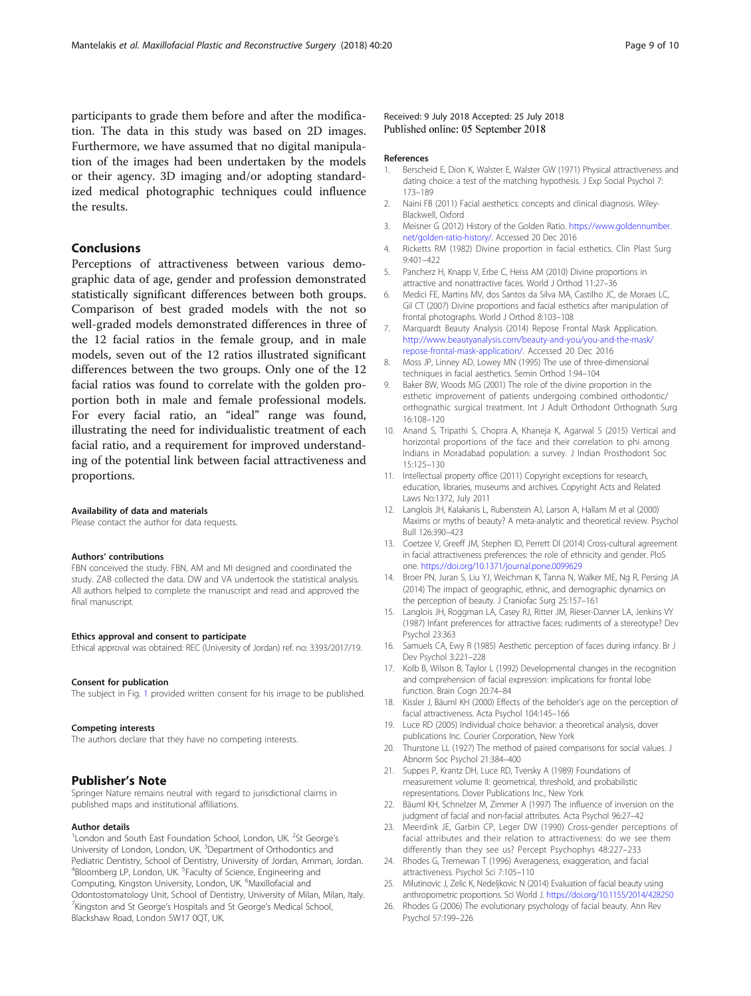<span id="page-8-0"></span>participants to grade them before and after the modification. The data in this study was based on 2D images. Furthermore, we have assumed that no digital manipulation of the images had been undertaken by the models or their agency. 3D imaging and/or adopting standardized medical photographic techniques could influence the results.

## Conclusions

Perceptions of attractiveness between various demographic data of age, gender and profession demonstrated statistically significant differences between both groups. Comparison of best graded models with the not so well-graded models demonstrated differences in three of the 12 facial ratios in the female group, and in male models, seven out of the 12 ratios illustrated significant differences between the two groups. Only one of the 12 facial ratios was found to correlate with the golden proportion both in male and female professional models. For every facial ratio, an "ideal" range was found, illustrating the need for individualistic treatment of each facial ratio, and a requirement for improved understanding of the potential link between facial attractiveness and proportions.

#### Availability of data and materials

Please contact the author for data requests.

#### Authors' contributions

FBN conceived the study. FBN, AM and MI designed and coordinated the study. ZAB collected the data. DW and VA undertook the statistical analysis. All authors helped to complete the manuscript and read and approved the final manuscript.

#### Ethics approval and consent to participate

Ethical approval was obtained: REC (University of Jordan) ref. no: 3393/2017/19.

#### Consent for publication

The subject in Fig. [1](#page-2-0) provided written consent for his image to be published.

#### Competing interests

The authors declare that they have no competing interests.

## Publisher's Note

Springer Nature remains neutral with regard to jurisdictional claims in published maps and institutional affiliations.

#### Author details

<sup>1</sup> London and South East Foundation School, London, UK. <sup>2</sup>St George's University of London, London, UK. <sup>3</sup> Department of Orthodontics and Pediatric Dentistry, School of Dentistry, University of Jordan, Amman, Jordan. <sup>4</sup>Bloomberg LP, London, UK. <sup>5</sup>Faculty of Science, Engineering and Computing, Kingston University, London, UK. <sup>6</sup>Maxillofacial and Odontostomatology Unit, School of Dentistry, University of Milan, Milan, Italy. <sup>7</sup>Kingston and St George's Hospitals and St George's Medical School, Blackshaw Road, London SW17 0QT, UK.

#### Received: 9 July 2018 Accepted: 25 July 2018 Published online: 05 September 2018

#### References

- 1. Berscheid E, Dion K, Walster E, Walster GW (1971) Physical attractiveness and dating choice: a test of the matching hypothesis. J Exp Social Psychol 7: 173–189
- 2. Naini FB (2011) Facial aesthetics: concepts and clinical diagnosis. Wiley-Blackwell, Oxford
- 3. Meisner G (2012) History of the Golden Ratio. [https://www.goldennumber.](https://www.goldennumber.net/golden-ratio-history/) [net/golden-ratio-history/.](https://www.goldennumber.net/golden-ratio-history/) Accessed 20 Dec 2016
- 4. Ricketts RM (1982) Divine proportion in facial esthetics. Clin Plast Surg 9:401–422
- 5. Pancherz H, Knapp V, Erbe C, Heiss AM (2010) Divine proportions in attractive and nonattractive faces. World J Orthod 11:27–36
- 6. Medici FE, Martins MV, dos Santos da Silva MA, Castilho JC, de Moraes LC, Gil CT (2007) Divine proportions and facial esthetics after manipulation of frontal photographs. World J Orthod 8:103–108
- 7. Marquardt Beauty Analysis (2014) Repose Frontal Mask Application. [http://www.beautyanalysis.com/beauty-and-you/you-and-the-mask/](http://www.beautyanalysis.com/beauty-and-you/you-and-the-mask/repose-frontal-mask-application/) [repose-frontal-mask-application/.](http://www.beautyanalysis.com/beauty-and-you/you-and-the-mask/repose-frontal-mask-application/) Accessed 20 Dec 2016
- 8. Moss JP, Linney AD, Lowey MN (1995) The use of three-dimensional techniques in facial aesthetics. Semin Orthod 1:94–104
- 9. Baker BW, Woods MG (2001) The role of the divine proportion in the esthetic improvement of patients undergoing combined orthodontic/ orthognathic surgical treatment. Int J Adult Orthodont Orthognath Surg 16:108–120
- 10. Anand S, Tripathi S, Chopra A, Khaneja K, Agarwal S (2015) Vertical and horizontal proportions of the face and their correlation to phi among Indians in Moradabad population: a survey. J Indian Prosthodont Soc 15:125–130
- 11. Intellectual property office (2011) Copyright exceptions for research, education, libraries, museums and archives. Copyright Acts and Related Laws No:1372, July 2011
- 12. Langlois JH, Kalakanis L, Rubenstein AJ, Larson A, Hallam M et al (2000) Maxims or myths of beauty? A meta-analytic and theoretical review. Psychol Bull 126:390–423
- 13. Coetzee V, Greeff JM, Stephen ID, Perrett DI (2014) Cross-cultural agreement in facial attractiveness preferences: the role of ethnicity and gender. PloS one. <https://doi.org/10.1371/journal.pone.0099629>
- 14. Broer PN, Juran S, Liu YJ, Weichman K, Tanna N, Walker ME, Ng R, Persing JA (2014) The impact of geographic, ethnic, and demographic dynamics on the perception of beauty. J Craniofac Surg 25:157–161
- 15. Langlois JH, Roggman LA, Casey RJ, Ritter JM, Rieser-Danner LA, Jenkins VY (1987) Infant preferences for attractive faces: rudiments of a stereotype? Dev Psychol 23:363
- 16. Samuels CA, Ewy R (1985) Aesthetic perception of faces during infancy. Br J Dev Psychol 3:221–228
- 17. Kolb B, Wilson B, Taylor L (1992) Developmental changes in the recognition and comprehension of facial expression: implications for frontal lobe function. Brain Cogn 20:74–84
- 18. Kissler J, Bäuml KH (2000) Effects of the beholder's age on the perception of facial attractiveness. Acta Psychol 104:145–166
- 19. Luce RD (2005) Individual choice behavior: a theoretical analysis, dover publications Inc. Courier Corporation, New York
- 20. Thurstone LL (1927) The method of paired comparisons for social values. J Abnorm Soc Psychol 21:384–400
- 21. Suppes P, Krantz DH, Luce RD, Tversky A (1989) Foundations of measurement volume II: geometrical, threshold, and probabilistic representations. Dover Publications Inc., New York
- 22. Bäuml KH, Schnelzer M, Zimmer A (1997) The influence of inversion on the judgment of facial and non-facial attributes. Acta Psychol 96:27–42
- 23. Meerdink JE, Garbin CP, Leger DW (1990) Cross-gender perceptions of facial attributes and their relation to attractiveness: do we see them differently than they see us? Percept Psychophys 48:227–233
- 24. Rhodes G, Tremewan T (1996) Averageness, exaggeration, and facial attractiveness. Psychol Sci 7:105–110
- 25. Milutinovic J, Zelic K, Nedeljkovic N (2014) Evaluation of facial beauty using anthropometric proportions. Sci World J. <https://doi.org/10.1155/2014/428250>
- 26. Rhodes G (2006) The evolutionary psychology of facial beauty. Ann Rev Psychol 57:199–226